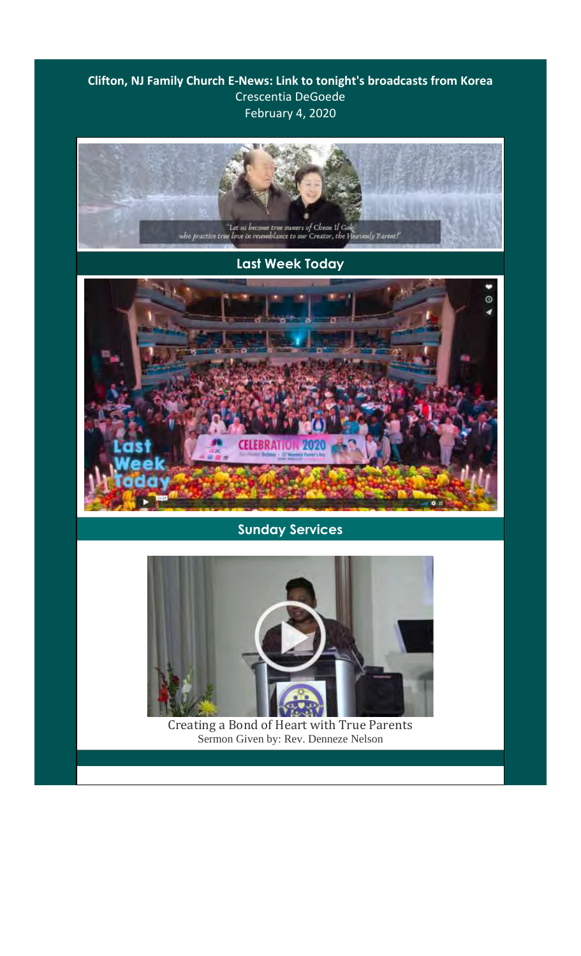## **Clifton, NJ Family Church E-News: Link to tonight's broadcasts from Korea** Crescentia DeGoede February 4, 2020

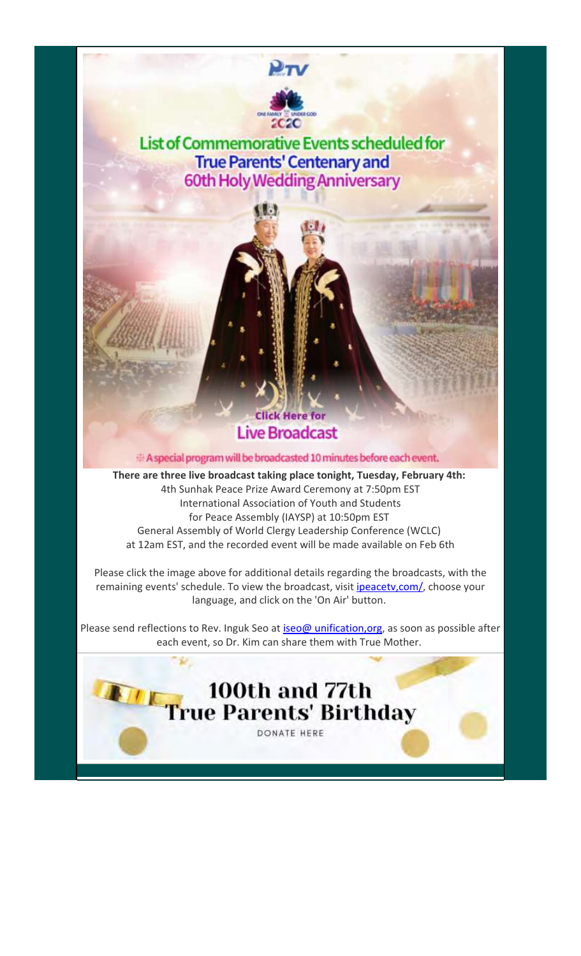

**List of Commemorative Events scheduled for True Parents' Centenary and 60th Holy Wedding Anniversary** 

35

## **Click Here for Live Broadcast**

A special program will be broadcasted 10 minutes before each event.

**There are three live broadcast taking place tonight, Tuesday, February 4th:** 4th Sunhak Peace Prize Award Ceremony at 7:50pm EST International Association of Youth and Students for Peace Assembly (IAYSP) at 10:50pm EST General Assembly of World Clergy Leadership Conference (WCLC) at 12am EST, and the recorded event will be made available on Feb 6th

Please click the image above for additional details regarding the broadcasts, with the remaining events' schedule. To view the broadcast, visit ipeacetv, com/, choose your language, and click on the 'On Air' button.

Please send reflections to Rev. Inguk Seo at iseo@ unification, org, as soon as possible after each event, so Dr. Kim can share them with True Mother.

100th and 77th

DONATE HERE

**True Parents' Birthday**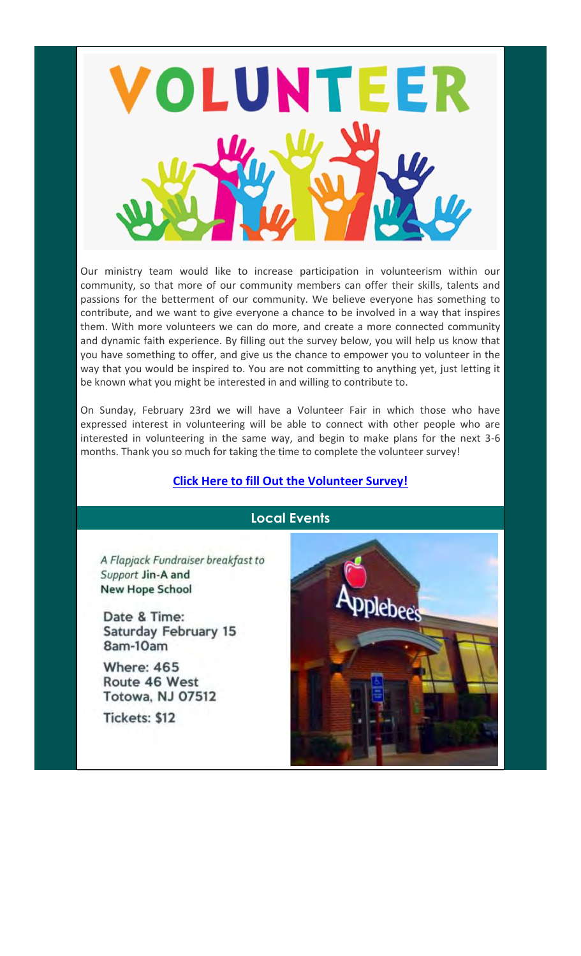

Our ministry team would like to increase participation in volunteerism within our community, so that more of our community members can offer their skills, talents and passions for the betterment of our community. We believe everyone has something to contribute, and we want to give everyone a chance to be involved in a way that inspires them. With more volunteers we can do more, and create a more connected community and dynamic faith experience. By filling out the survey below, you will help us know that you have something to offer, and give us the chance to empower you to volunteer in the way that you would be inspired to. You are not committing to anything yet, just letting it be known what you might be interested in and willing to contribute to.

On Sunday, February 23rd we will have a Volunteer Fair in which those who have expressed interest in volunteering will be able to connect with other people who are interested in volunteering in the same way, and begin to make plans for the next 3-6 months. Thank you so much for taking the time to complete the volunteer survey!

## **Click Here to fill Out the Volunteer Survey!**

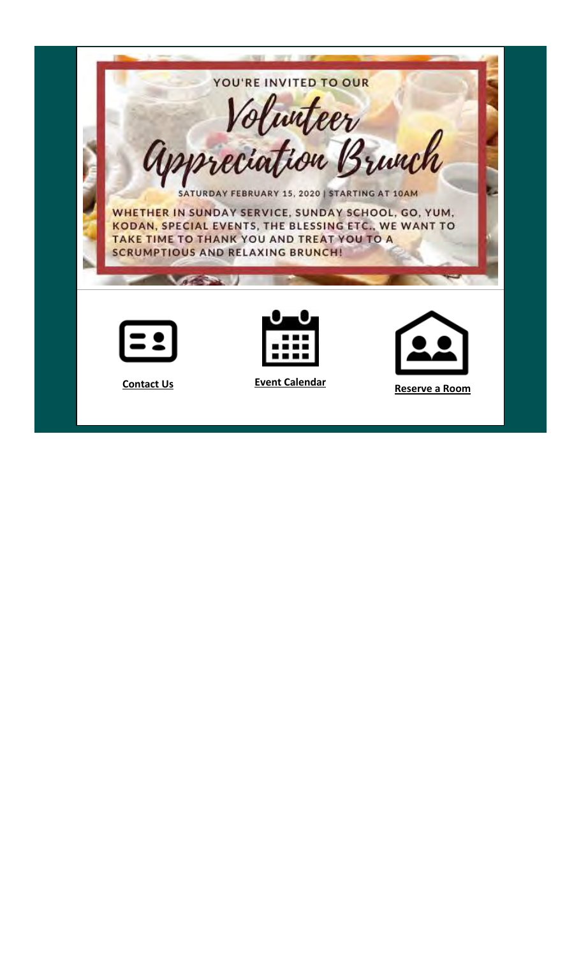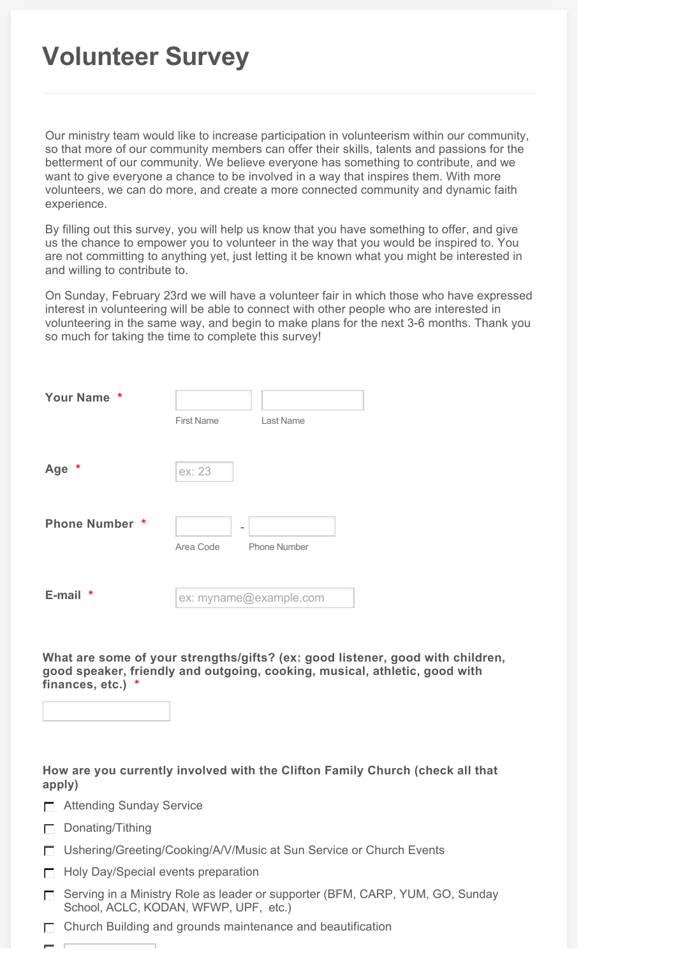## **Volunteer Survey**

Our ministry team would like to increase participation in volunteerism within our community, so that more of our community members can offer their skills, talents and passions for the betterment of our community. We believe everyone has something to contribute, and we want to give everyone a chance to be involved in a way that inspires them. With more volunteers, we can do more, and create a more connected community and dynamic faith experience.

By filling out this survey, you will help us know that you have something to offer, and give us the chance to empower you to volunteer in the way that you would be inspired to. You are not committing to anything yet, just letting it be known what you might be interested in and willing to contribute to.

On Sunday, February 23rd we will have a volunteer fair in which those who have expressed interest in volunteering will be able to connect with other people who are interested in volunteering in the same way, and begin to make plans for the next 3-6 months. Thank you so much for taking the time to complete this survey!

| Your Name *           |                        |              |
|-----------------------|------------------------|--------------|
|                       | <b>First Name</b>      | Last Name    |
|                       |                        |              |
| Age *                 | ex: 23                 |              |
|                       |                        |              |
| <b>Phone Number *</b> |                        |              |
|                       | Area Code              | Phone Number |
|                       |                        |              |
| E-mail<br>*           | ex: myname@example.com |              |

**What are some of your strengths/gifts? (ex: good listener, good with children, good speaker, friendly and outgoing, cooking, musical, athletic, good with finances, etc.) \***



**How are you currently involved with the Clifton Family Church (check all that apply)**

- □ Attending Sunday Service
- Donating/Tithing
- Ushering/Greeting/Cooking/A/V/Music at Sun Service or Church Events
- Holy Day/Special events preparation
- $\Box$  Serving in a Ministry Role as leader or supporter (BFM, CARP, YUM, GO, Sunday School, ACLC, KODAN, WFWP, UPF, etc.)
- $\Box$  Church Building and grounds maintenance and beautification